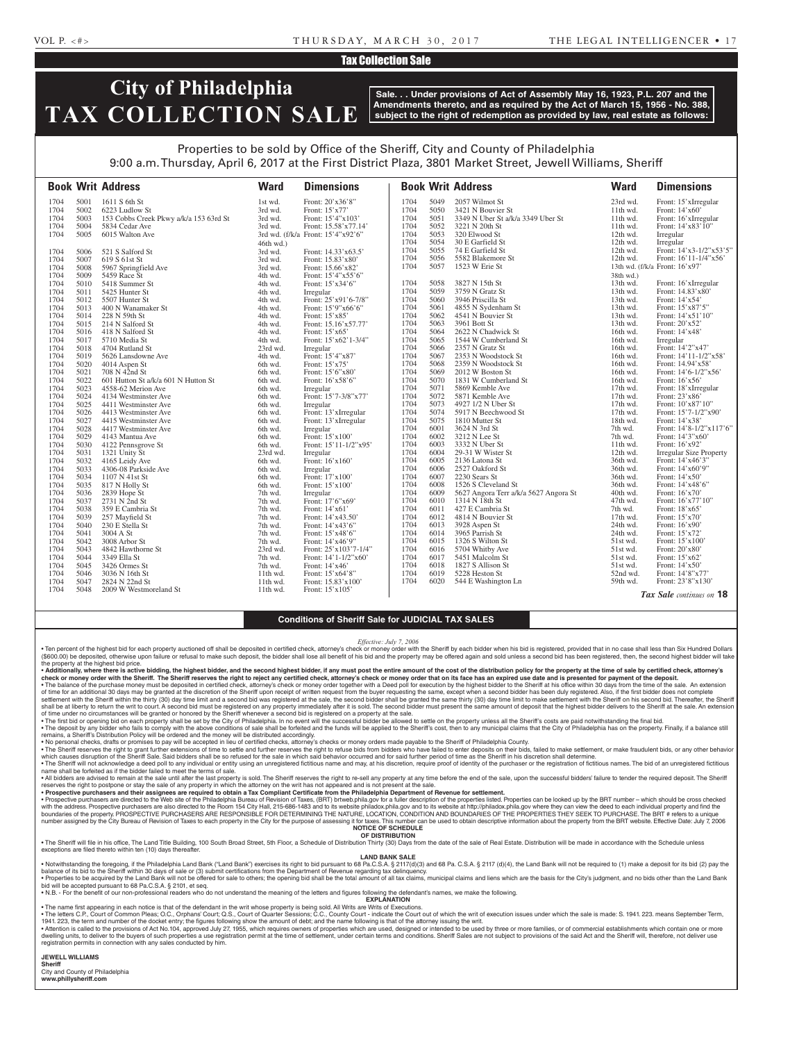### VOL P. <#> T H U R S DAY, M A R C H 3 0 , 2 0 1 7 THE LEGAL INTELLIGENCER • 1 7

## Tax Collection Sale

# **City of Philadelphia TAX COLLECTION SALE**

**Sale. . . Under provisions of Act of Assembly May 16, 1923, P.L. 207 and the Amendments thereto, and as required by the Act of March 15, 1956 - No. 388, subject to the right of redemption as provided by law, real estate as follows:**

## Properties to be sold by Office of the Sheriff, City and County of Philadelphia 9:00 a.m. Thursday, April 6, 2017 at the First District Plaza, 3801 Market Street, Jewell Williams, Sheriff

|              |              | <b>Book Writ Address</b>               | <b>Ward</b>        | <b>Dimensions</b>                 |              |              | <b>Book Writ Address</b>              | <b>Ward</b>          | <b>Dimensions</b>                  |
|--------------|--------------|----------------------------------------|--------------------|-----------------------------------|--------------|--------------|---------------------------------------|----------------------|------------------------------------|
| 1704         | 5001         | 1611 S 6th St                          | 1st wd.            | Front: 20'x36'8"                  | 1704         | 5049         | 2057 Wilmot St                        | 23rd wd.             | Front: 15'xIrregular               |
| 1704         | 5002         | 6223 Ludlow St                         | 3rd wd.            | Front: $15'x77'$                  | 1704         | 5050         | 3421 N Bouvier St                     | 11th wd.             | Front: 14'x60'                     |
| 1704         | 5003         | 153 Cobbs Creek Pkwy a/k/a 153 63rd St | 3rd wd.            | Front: 15'4"x103'                 | 1704         | 5051         | 3349 N Uber St a/k/a 3349 Uber St     | 11th wd.             | Front: 16'xIrregular               |
| 1704         | 5004         | 5834 Cedar Ave                         | 3rd wd.            | Front: 15.58'x77.14'              | 1704         | 5052         | 3221 N 20th St                        | $11th$ wd.           | Front: $14'$ x83' $10''$           |
| 1704         | 5005         | 6015 Walton Ave                        |                    | 3rd wd. (f/k/a Front: 15'4"x92'6" | 1704         | 5053         | 320 Elwood St                         | 12th wd.             | Irregular                          |
|              |              |                                        | 46th wd.)          |                                   | 1704         | 5054         | 30 E Garfield St                      | 12th wd.             | Irregular                          |
| 1704         | 5006         | 521 S Salford St                       | 3rd wd.            | Front: 14.33'x63.5'               | 1704         | 5055         | 74 E Garfield St                      | 12th wd.             | Front: 14'x3-1/2"x53'5"            |
| 1704         | 5007         | 619 S 61st St                          | 3rd wd.            | Front: 15.83'x80'                 | 1704         | 5056         | 5582 Blakemore St                     | 12th wd.             | Front: $16'11-1/4''x56'$           |
| 1704         | 5008         | 5967 Springfield Ave                   | 3rd wd.            | Front: 15.66'x82'                 | 1704         | 5057         | 1523 W Erie St                        |                      | 13th wd. (f/k/a Front: 16'x97'     |
| 1704         | 5009         | 5459 Race St                           | 4th wd.            | Front: 15'4"x55'6"                |              |              |                                       | 38th wd.)            |                                    |
| 1704         | 5010         | 5418 Summer St                         | 4th wd.            | Front: 15'x34'6"                  | 1704         | 5058         | 3827 N 15th St                        | 13th wd.             | Front: 16'xIrregular               |
| 1704         | 5011         | 5425 Hunter St                         | 4th wd.            | Irregular                         | 1704         | 5059         | 3759 N Gratz St                       | 13th wd.             | Front: 14.83'x80'                  |
| 1704         | 5012         | 5507 Hunter St                         | 4th wd.            | Front: 25'x91'6-7/8"              | 1704         | 5060         | 3946 Priscilla St                     | 13th wd.             | Front: 14'x54'                     |
| 1704         | 5013         | 400 N Wanamaker St                     | 4th wd.            | Front: 15'9"x66'6"                | 1704         | 5061         | 4855 N Sydenham St                    | 13th wd.             | Front: 15'x87'5"                   |
| 1704         | 5014         | 228 N 59th St                          | 4th wd.            | Front: 15'x85'                    | 1704         | 5062         | 4541 N Bouvier St                     | 13th wd.             | Front: 14'x51'10"                  |
| 1704         | 5015         | 214 N Salford St                       | 4th wd.            | Front: 15.16'x57.77'              | 1704         | 5063         | 3961 Bott St                          | 13th wd.             | Front: 20'x52'                     |
| 1704         | 5016         | 418 N Salford St                       | 4th wd.            | Front: 15'x65'                    | 1704         | 5064         | 2622 N Chadwick St                    | 16th wd.             | Front: 14'x48'                     |
| 1704         | 5017         | 5710 Media St                          | 4th wd.            | Front: 15'x62'1-3/4"              | 1704         | 5065         | 1544 W Cumberland St                  | 16th wd.             | Irregular                          |
| 1704         | 5018         | 4704 Rutland St                        | 23rd wd.           | Irregular                         | 1704         | 5066         | 2357 N Gratz St                       | 16th wd.             | Front: 14'2"x47'                   |
| 1704         | 5019         | 5626 Lansdowne Ave                     | 4th wd.            | Front: 15'4"x87'                  | 1704         | 5067         | 2353 N Woodstock St                   | 16th wd.             | Front: $14'11-1/2''x58'$           |
| 1704         | 5020         | 4014 Aspen St                          | 6th wd.            | Front: 15'x75'                    | 1704         | 5068         | 2359 N Woodstock St                   | 16th wd.             | Front: 14.94'x58                   |
| 1704         | 5021         | 708 N 42nd St                          | 6th wd.            | Front: 15'6"x80"                  | 1704         | 5069         | 2012 W Boston St                      | 16th wd.             | Front: $14'6 - 1/2''x56'$          |
| 1704         | 5022         | 601 Hutton St a/k/a 601 N Hutton St    | 6th wd.            | Front: 16'x58'6"                  | 1704         | 5070         | 1831 W Cumberland St                  | 16th wd.             | Front: 16'x56'                     |
| 1704         | 5023         | 4558-62 Merion Ave                     | 6th wd.            | Irregular                         | 1704         | 5071         | 5869 Kemble Ave                       | $17th$ wd.           | Front: 18'xIrregular               |
| 1704         | 5024         | 4134 Westminster Ave                   | 6th wd.            | Front: 15'7-3/8"x77'              | 1704         | 5072         | 5871 Kemble Ave                       | 17th wd.             | Front: 23'x86'                     |
| 1704         | 5025         | 4411 Westminster Ave                   | 6th wd.            | Irregular                         | 1704         | 5073         | 4927 1/2 N Uber St                    | 17th wd.             | Front: 10'x87'10"                  |
| 1704         | 5026         | 4413 Westminster Ave                   | 6th wd.            | Front: 13'xIrregular              | 1704         | 5074         | 5917 N Beechwood St                   | 17th wd.             | Front: 15'7-1/2"x90'               |
| 1704         | 5027         | 4415 Westminster Ave                   | 6th wd.            | Front: 13'xIrregular              | 1704         | 5075         | 1810 Mutter St                        | 18th wd.             | Front: 14'x38'                     |
| 1704         | 5028         | 4417 Westminster Ave                   | 6th wd.            | Irregular                         | 1704         | 6001         | 3624 N 3rd St                         | 7th wd.              | Front: 14'8-1/2"x117'6"            |
| 1704         | 5029         | 4143 Mantua Ave                        | 6th wd.            | Front: 15'x100'                   | 1704         | 6002         | 3212 N Lee St                         | 7th wd.              | Front: 14'3"x60"                   |
| 1704         | 5030         | 4122 Pennsgrove St                     | 6th wd.            | Front: 15'11-1/2"x95'             | 1704         | 6003         | 3332 N Uber St                        | $11th$ wd.           | Front: 16'x92'                     |
| 1704         | 5031         | 1321 Unity St                          | 23rd wd.           | Irregular                         | 1704         | 6004         | 29-31 W Wister St                     | 12th wd.             | Irregular Size Property            |
| 1704         | 5032         | 4165 Leidy Ave                         | 6th wd.            | Front: 16'x160'                   | 1704         | 6005         | 2136 Latona St                        | 36th wd.             | Front: 14'x46'3"                   |
| 1704         | 5033         | 4306-08 Parkside Ave                   | 6th wd.            | Irregular                         | 1704<br>1704 | 6006<br>6007 | 2527 Oakford St                       | 36th wd.             | Front: 14'x60'9"                   |
| 1704         | 5034         | 1107 N 41st St                         | 6th wd.            | Front: 17'x100'                   | 1704         | 6008         | 2230 Sears St<br>1526 S Cleveland St  | 36th wd.             | Front: 14'x50'                     |
| 1704<br>1704 | 5035<br>5036 | 817 N Holly St<br>2839 Hope St         | 6th wd.            | Front: 15'x100'                   | 1704         | 6009         | 5627 Angora Terr a/k/a 5627 Angora St | 36th wd.<br>40th wd. | Front: 14'x48'6"<br>Front: 16'x70' |
| 1704         | 5037         | 2731 N 2nd St                          | 7th wd.            | Irregular<br>Front: 17'6"x69"     | 1704         | 6010         | 1314 N 18th St                        | 47th wd.             | Front: 16'x77'10"                  |
| 1704         | 5038         | 359 E Cambria St                       | 7th wd.<br>7th wd. | Front: 14'x61'                    | 1704         | 6011         | 427 E Cambria St                      | 7th wd.              | Front: 18'x65'                     |
| 1704         | 5039         | 257 Mayfield St                        | 7th wd.            | Front: 14'x43.50'                 | 1704         | 6012         | 4814 N Bouvier St                     | $17th$ wd.           | Front: 15'x70'                     |
| 1704         | 5040         | 230 E Stella St                        | 7th wd.            | Front: 14'x43'6"                  | 1704         | 6013         | 3928 Aspen St                         | 24th wd.             | Front: 16'x90'                     |
| 1704         | 5041         | 3004 A St                              | 7th wd.            | Front: 15'x48'6"                  | 1704         | 6014         | 3965 Parrish St                       | 24th wd.             | Front: 15'x72'                     |
| 1704         | 5042         | 3008 Arbor St                          | 7th wd.            | Front: 14'x46'9"                  | 1704         | 6015         | 1326 S Wilton St                      | 51st wd.             | Front: 15'x100'                    |
| 1704         | 5043         | 4842 Hawthorne St                      | 23rd wd.           | Front: $25'x103'7-1/4"$           | 1704         | 6016         | 5704 Whitby Ave                       | 51st wd.             | Front: 20'x80'                     |
| 1704         | 5044         | 3349 Ella St                           | 7th wd.            | Front: 14'1-1/2"x60'              | 1704         | 6017         | 5451 Malcolm St                       | 51st wd.             | Front: 15'x62'                     |
| 1704         | 5045         | 3426 Ormes St                          | 7th wd.            | Front: 14'x46'                    | 1704         | 6018         | 1827 S Allison St                     | 51st wd.             | Front: 14'x50'                     |
| 1704         | 5046         | 3036 N 16th St                         | 11th wd.           | Front: 15'x64'8"                  | 1704         | 6019         | 5228 Heston St                        | 52nd wd.             | Front: 14'8"x77'                   |
| 1704         | 5047         | 2824 N 22nd St                         | $11th$ wd.         | Front: 15.83'x100'                | 1704         | 6020         | 544 E Washington Ln                   | 59th wd.             | Front: 23'8"x130"                  |
| 1704         | 5048         | 2009 W Westmoreland St                 | $11th$ wd.         | Front: 15'x105'                   |              |              |                                       |                      | Tax Sale continues on 18           |
|              |              |                                        |                    |                                   |              |              |                                       |                      |                                    |

# **Conditions of Sheriff Sale for JUDICIAL TAX SALES**

#### *Effective: July 7, 2006*

Ten percent of the highest bid for each property auctioned off shall be deposited in certified check, attorney's check or money order with the Sheriff by each bidder when his bid is registered, provided that in no case sha (\$600.00) be deposited, otherwise upon failure or refusal to make such deposit, the bidder shall lose all benefit of his bid and the property may be offered again and sold unless a second bid has been registered, then, the

. Additionally, where there is active bidding, the highest bidder, and the second highest bidder, if any must post the entire amount of the cost of the distribution policy for the property at the time of sale by certified check or money order with the Sheriff. The Sheriff reserves the right to reject any certified check, attorney's check or money order that on its face has an expired use date and is presented for payment of the deposit. • The balance of the purchase money must be deposited in certified check, attorney's check or money order together with a Deed poll for execution by the highest bidder to the Sheriff at his office within 30 days from the t settlement with the Sheriff within the thirty (30) day time limit and a second bid was registered at the sale, the second bidder shall be granted the same thirty (30) day time limit to make settlement with the Sheriff on h of time under no circumstances will be granted or honored by the Sheriff whenever a second bid is registered on a property at the sale.<br>• The first bid or opening bid on each property shall be set by the City of Philadelph

. The deposit by any bidder who fails to comply with the above conditions of sale shall be forfeited and the funds will be applied to the Sheriff's cost, then to any municipal claims that the City of Philadelphia has on th remains, a Sheriff's Distribution Policy will be ordered and the money will be distributed accordingly.

• No personal checks, drafts or promises to pay will be accepted in lieu of certified checks, attorney's checks or money orders made payable to the Sheriff of Philadelphia County.<br>• The Sheriff reserves the right to grant which causes disruption of the Sheriff Sale. Said bidders shall be so refused for the sale in which said behavior occurred and for said further period of time as the Sheriff in his discretion shall determine. . The Sheriff will not acknowledge a deed poll to any individual or entity using an unregistered fictitious name and may, at his discretion, require proof of identity of the purchaser or the registration of fictitious name name shall be forfeited as if the bidder failed to meet the terms of sale.

. All bidders are advised to remain at the sale until after the last property is sold. The Sheriff reserves the right to re-sell any property at any time before the end of the sale, upon the successful bidders' failure to

reserves the right to postpone or stay the sale of any property in which the attorney on the writ has not appeared and is not present at the sale.<br>• Prospective purchasers and their assignees are required to obtain a Tax

with the address. Prospective purchasers are also directed to the Room 154 City Hall, 215-686-1483 and to its website philadox.phila.gov and to its website at http://philadox.phila.gov where they can view the deed to each number assigned by the City Bureau of Revision of Taxes to each property in the City for the purpose of assessing it for taxes. This number can be used to obtain descriptive information about the property from the BRT webs

**OF DISTRIBUTION**

. The Sheriff will file in his office, The Land Title Building, 100 South Broad Street, 5th Floor, a Schedule of Distribution Thirty (30) Days from the date of the sale of Real Estate. Distribution will be made in accordan exceptions are filed thereto within ten (10) days thereafter.

## **LAND BANK SALE**

• Notwithstanding the foregoing, if the Philadelphia Land Bank ("Land Bank") exercises its right to bid pursuant to 68 Pa.C.S.A. § 2117(d)(3) and 68 Pa.C.S.A. § 2117 (d)(4), the Land Bank will not be required to (1) make a · Properties to be acquired by the Land Bank will not be offered for sale to others; the opening bid shall be the total amount of all tax claims, municipal claims and liens which are the basis for the City's judgment, and

will be accepted pursuant to 68 Pa.C.S.A. § 2101, et seq. • N.B. - For the benefit of our non-professional readers who do not understand the meaning of the letters and figures following the defendant's names, we make the following.

**EXPLANATION** 

• The name first appearing in each notice is that of the defendant in the writ whose property is being sold. All Writs are Writs of Executions.

. The letters C.P., Court of Common Pleas; O.C., Orphans' Court; Q.S., Court of Quarter Sessions; C.C., County Court - indicate the Court out of which the writ of execution issues under which the sale is made: S. 1941. 223 1941. 223, the term and number of the docket entry; the figures following show the amount of debt; and the name following is that of the attorney issuing the writ.<br>• Attention is called to the provisions of Act No.104, app

registration permits in connection with any sales conducted by him.

#### **JEWELL WILLIAMS**

**Sheriff** 

City and County of Philadelphia **www.phillysheriff.com**